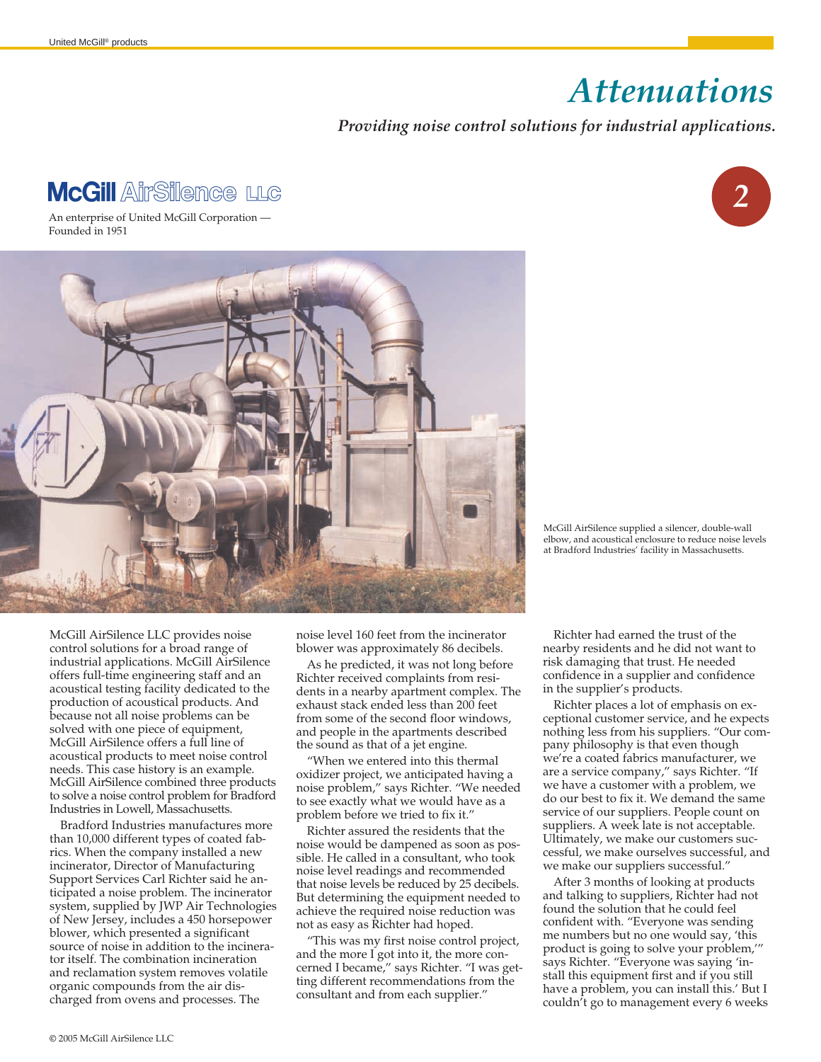## *Attenuations ,*

## *Providing noise control solutions for industrial applications.*

## **McGill AirSilence LLG**

An enterprise of United McGill Corporation — Founded in 1951



McGill AirSilence supplied a silencer, double-wall elbow, and acoustical enclosure to reduce noise levels at Bradford Industries' facility in Massachusetts.

McGill AirSilence LLC provides noise control solutions for a broad range of industrial applications. McGill AirSilence offers full-time engineering staff and an acoustical testing facility dedicated to the production of acoustical products. And because not all noise problems can be solved with one piece of equipment, McGill AirSilence offers a full line of acoustical products to meet noise control needs. This case history is an example. McGill AirSilence combined three products to solve a noise control problem for Bradford Industries in Lowell, Massachusetts.

Bradford Industries manufactures more than 10,000 different types of coated fabrics. When the company installed a new incinerator, Director of Manufacturing Support Services Carl Richter said he anticipated a noise problem. The incinerator system, supplied by JWP Air Technologies of New Jersey, includes a 450 horsepower blower, which presented a significant source of noise in addition to the incinerator itself. The combination incineration and reclamation system removes volatile organic compounds from the air discharged from ovens and processes. The

noise level 160 feet from the incinerator blower was approximately 86 decibels.

As he predicted, it was not long before Richter received complaints from residents in a nearby apartment complex. The exhaust stack ended less than 200 feet from some of the second floor windows, and people in the apartments described the sound as that of a jet engine.

"When we entered into this thermal oxidizer project, we anticipated having a noise problem," says Richter. "We needed to see exactly what we would have as a problem before we tried to fix it."

Richter assured the residents that the noise would be dampened as soon as possible. He called in a consultant, who took noise level readings and recommended that noise levels be reduced by 25 decibels. But determining the equipment needed to achieve the required noise reduction was not as easy as Richter had hoped.

"This was my first noise control project, and the more I got into it, the more concerned I became," says Richter. "I was getting different recommendations from the consultant and from each supplier."

Richter had earned the trust of the nearby residents and he did not want to risk damaging that trust. He needed confidence in a supplier and confidence in the supplier's products.

Richter places a lot of emphasis on exceptional customer service, and he expects nothing less from his suppliers. "Our company philosophy is that even though we're a coated fabrics manufacturer, we are a service company," says Richter. "If we have a customer with a problem, we do our best to fix it. We demand the same service of our suppliers. People count on suppliers. A week late is not acceptable. Ultimately, we make our customers successful, we make ourselves successful, and we make our suppliers successful."

After 3 months of looking at products and talking to suppliers, Richter had not found the solution that he could feel confident with. "Everyone was sending me numbers but no one would say, 'this product is going to solve your problem,'" says Richter. "Everyone was saying 'install this equipment first and if you still have a problem, you can install this.' But I couldn't go to management every 6 weeks